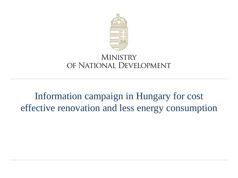

### **MINISTRY** OF NATIONAL DEVELOPMENT

## Information campaign in Hungary for cost effective renovation and less energy consumption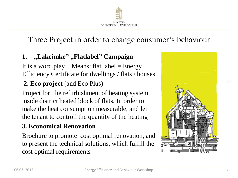

## Three Project in order to change consumer's behaviour

#### **1.** "Lakcímke" "Flatlabel" Campaign

It is a word play Means: flat  $label = Energy$ Efficiency Certificate for dwellings / flats / houses

#### **2**. **Eco project** (and Eco Plus)

Project for the refurbishment of heating system inside district heated block of flats. In order to make the heat consumption measurable, and let the tenant to controll the quantity of the heating

#### **3. Economical Renovation**

Brochure to promote cost optimal renovation, and to present the technical solutions, which fulfill the cost optimal requirements

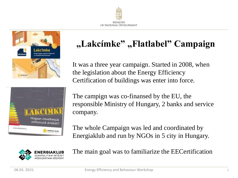



# Hogyan növelhetjük otthonunk értékét? www.lakcimke.hu ENERGIA KLUB

## **"Lakcímke" "Flatlabel" Campaign**

It was a three year campaign. Started in 2008, when the legislation about the Energy Efficiency Certification of buildings was enter into force.

The campign was co-finansed by the EU, the responsible Ministry of Hungary, 2 banks and service company.

The whole Campaign was led and coordinated by Energiaklub and run by NGOs in 5 city in Hungary.



The main goal was to familiarize the EECertification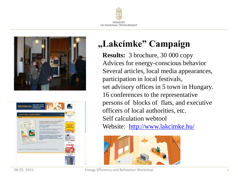





## **"Lakcímke" Campaign**

**Results:** 3 brochure, 30 000 copy Advices for energy-conscious behavior Several articles, local media appearances, participation in local festivals, set advisory offices in 5 town in Hungary. 16 conferences to the representative persons of blocks of flats, and executive officers of local authorities, etc. Self calculation webtool Website: <http://www.lakcimke.hu/>

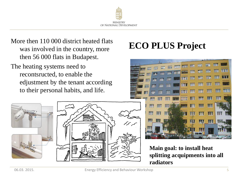

More then 110 000 district heated flats<br>
Was involved in the country more<br> **ECO PLUS Project** was involved in the country, more then 56 000 flats in Budapest.

The heating systems need to recontsructed, to enable the edjustment by the tenant according to their personal habits, and life.







**Main goal: to install heat splitting acquipments into all radiators**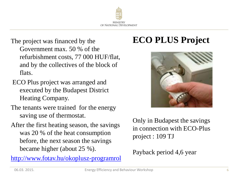

- The project was financed by the Government max. 50 % of the refurbishment costs, 77 000 HUF/flat, and by the collectives of the block of flats.
- ECO Plus project was arranged and executed by the Budapest District Heating Company.
- The tenants were trained for the energy saving use of thermostat.
- After the first heating season, the savings was 20 % of the heat consumption before, the next season the savings became higher (about 25 %).

<http://www.fotav.hu/okoplusz-programrol>

## **ECO PLUS Project**



Only in Budapest the savings in connection with ECO-Plus project : 109 TJ

Payback period 4,6 year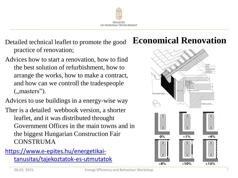

practice of renovation;

Advices how to start a renovation, how to find the best solution of refurbishment, how to arrange the works, how to make a contract, and how can we controll the tradespeople  $($ , masters" $).$ 

Advices to use buildings in a energy-wise way

Ther is a detailed webbook version, a shorter leaflet, and it was distributed throught Government Offices in the main towns and in the biggest Hungarian Construction Fair **CONSTRUMA** 

#### [https://www.e-epites.hu/energetikai](https://www.e-epites.hu/energetikai-tanusitas/tajekoztatok-es-utmutatok)[tanusitas/tajekoztatok-es-utmutatok](https://www.e-epites.hu/energetikai-tanusitas/tajekoztatok-es-utmutatok)

## Detailed technical leaflet to promote the good **Economical Renovation**